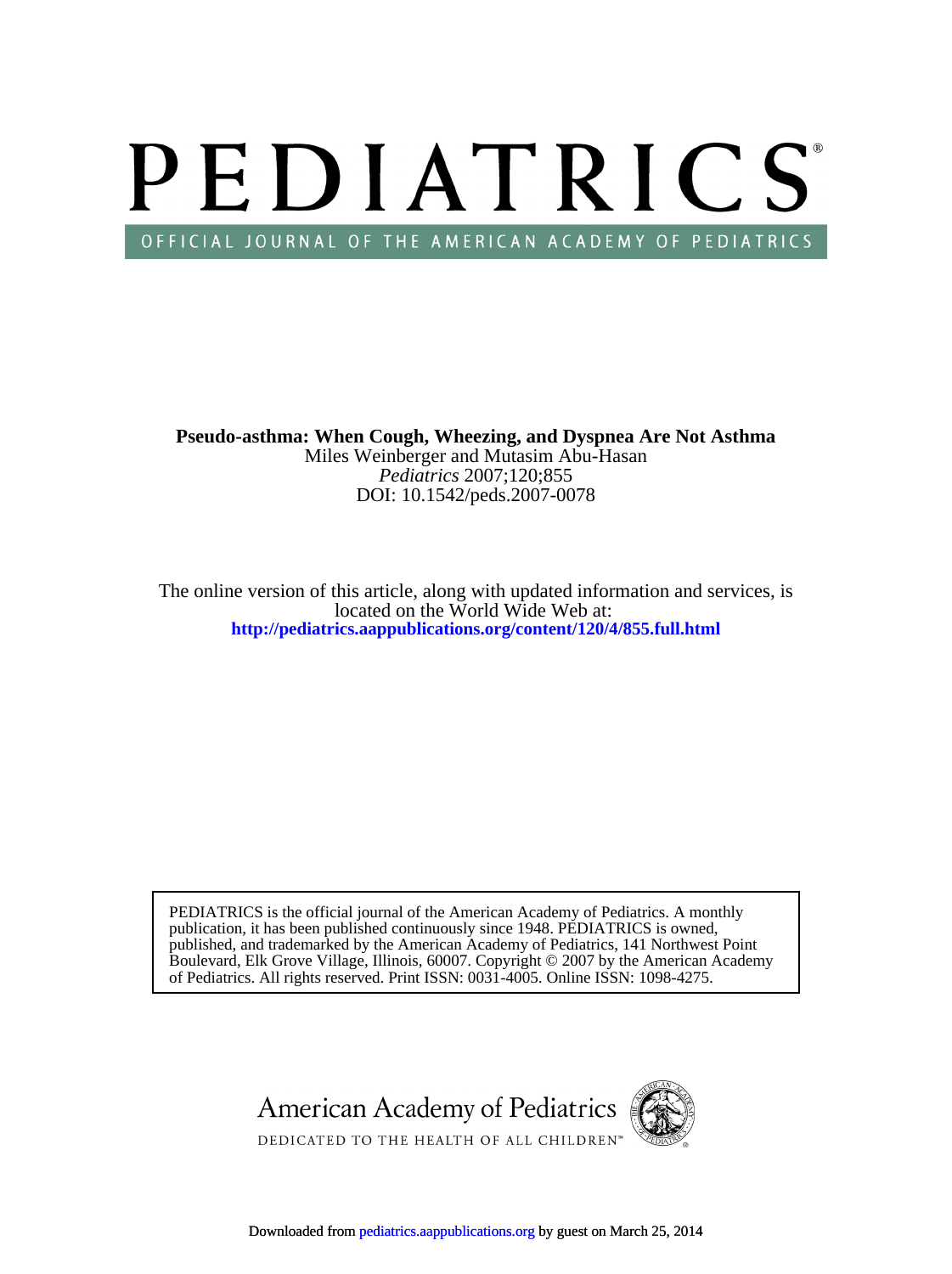# PEDIATRICS OFFICIAL JOURNAL OF THE AMERICAN ACADEMY OF PEDIATRICS

DOI: 10.1542/peds.2007-0078 *Pediatrics* 2007;120;855 Miles Weinberger and Mutasim Abu-Hasan **Pseudo-asthma: When Cough, Wheezing, and Dyspnea Are Not Asthma**

**<http://pediatrics.aappublications.org/content/120/4/855.full.html>** located on the World Wide Web at: The online version of this article, along with updated information and services, is

of Pediatrics. All rights reserved. Print ISSN: 0031-4005. Online ISSN: 1098-4275. Boulevard, Elk Grove Village, Illinois, 60007. Copyright © 2007 by the American Academy published, and trademarked by the American Academy of Pediatrics, 141 Northwest Point publication, it has been published continuously since 1948. PEDIATRICS is owned, PEDIATRICS is the official journal of the American Academy of Pediatrics. A monthly

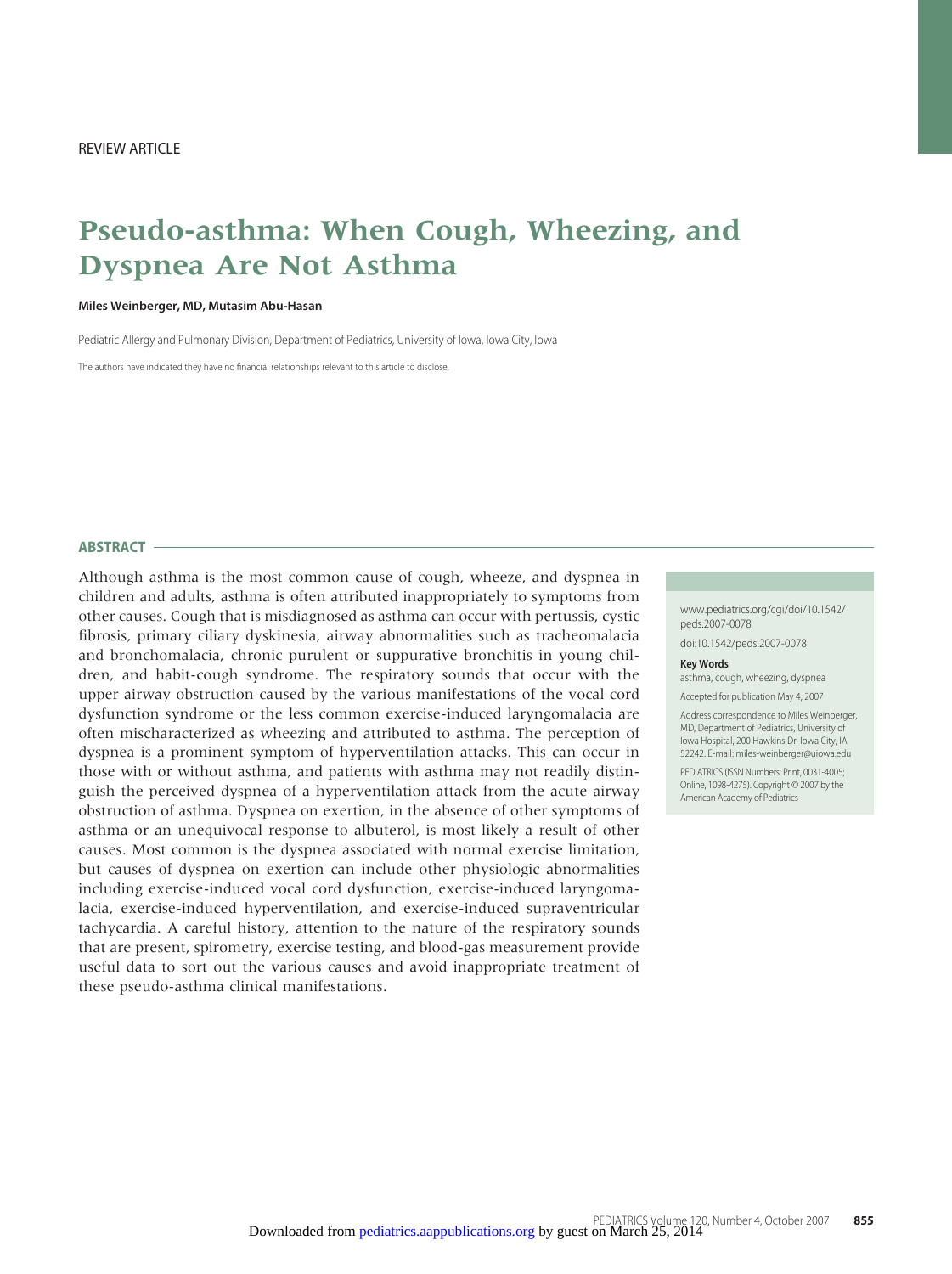# **Pseudo-asthma: When Cough, Wheezing, and Dyspnea Are Not Asthma**

#### **Miles Weinberger, MD, Mutasim Abu-Hasan**

Pediatric Allergy and Pulmonary Division, Department of Pediatrics, University of Iowa, Iowa City, Iowa

The authors have indicated they have no financial relationships relevant to this article to disclose.

#### **ABSTRACT**

Although asthma is the most common cause of cough, wheeze, and dyspnea in children and adults, asthma is often attributed inappropriately to symptoms from other causes. Cough that is misdiagnosed as asthma can occur with pertussis, cystic fibrosis, primary ciliary dyskinesia, airway abnormalities such as tracheomalacia and bronchomalacia, chronic purulent or suppurative bronchitis in young children, and habit-cough syndrome. The respiratory sounds that occur with the upper airway obstruction caused by the various manifestations of the vocal cord dysfunction syndrome or the less common exercise-induced laryngomalacia are often mischaracterized as wheezing and attributed to asthma. The perception of dyspnea is a prominent symptom of hyperventilation attacks. This can occur in those with or without asthma, and patients with asthma may not readily distinguish the perceived dyspnea of a hyperventilation attack from the acute airway obstruction of asthma. Dyspnea on exertion, in the absence of other symptoms of asthma or an unequivocal response to albuterol, is most likely a result of other causes. Most common is the dyspnea associated with normal exercise limitation, but causes of dyspnea on exertion can include other physiologic abnormalities including exercise-induced vocal cord dysfunction, exercise-induced laryngomalacia, exercise-induced hyperventilation, and exercise-induced supraventricular tachycardia. A careful history, attention to the nature of the respiratory sounds that are present, spirometry, exercise testing, and blood-gas measurement provide useful data to sort out the various causes and avoid inappropriate treatment of these pseudo-asthma clinical manifestations.

www.pediatrics.org/cgi/doi/10.1542/ peds.2007-0078

doi:10.1542/peds.2007-0078

#### **Key Words**

asthma, cough, wheezing, dyspnea

Accepted for publication May 4, 2007

Address correspondence to Miles Weinberger MD, Department of Pediatrics, University of Iowa Hospital, 200 Hawkins Dr, Iowa City, IA 52242. E-mail: miles-weinberger@uiowa.edu PEDIATRICS (ISSN Numbers: Print, 0031-4005; Online, 1098-4275). Copyright © 2007 by the American Academy of Pediatrics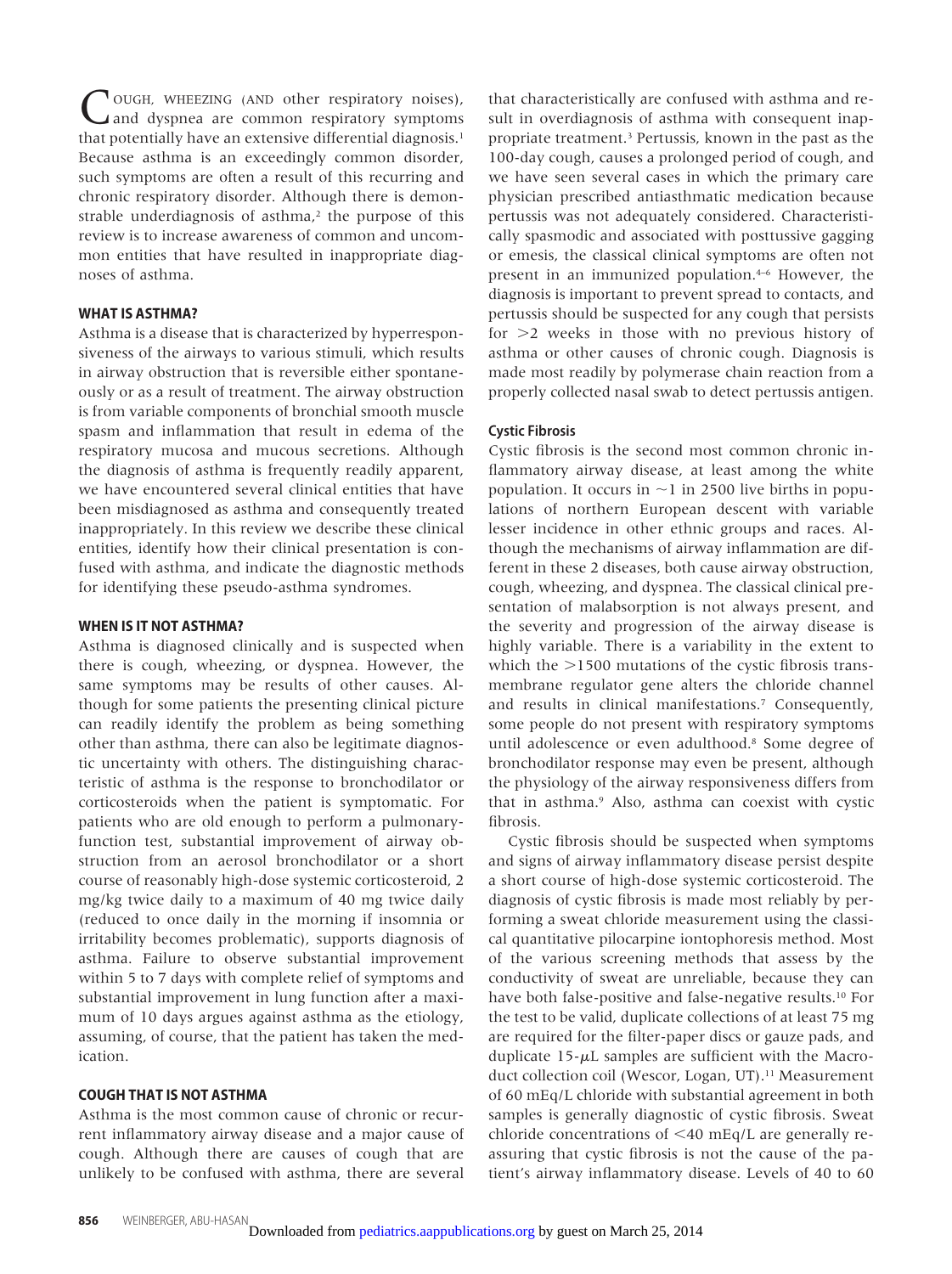**JOUGH, WHEEZING (AND other respiratory noises),** and dyspnea are common respiratory symptoms that potentially have an extensive differential diagnosis.<sup>1</sup> Because asthma is an exceedingly common disorder, such symptoms are often a result of this recurring and chronic respiratory disorder. Although there is demonstrable underdiagnosis of asthma, $2$  the purpose of this review is to increase awareness of common and uncommon entities that have resulted in inappropriate diagnoses of asthma.

# **WHAT IS ASTHMA?**

Asthma is a disease that is characterized by hyperresponsiveness of the airways to various stimuli, which results in airway obstruction that is reversible either spontaneously or as a result of treatment. The airway obstruction is from variable components of bronchial smooth muscle spasm and inflammation that result in edema of the respiratory mucosa and mucous secretions. Although the diagnosis of asthma is frequently readily apparent, we have encountered several clinical entities that have been misdiagnosed as asthma and consequently treated inappropriately. In this review we describe these clinical entities, identify how their clinical presentation is confused with asthma, and indicate the diagnostic methods for identifying these pseudo-asthma syndromes.

# **WHEN IS IT NOT ASTHMA?**

Asthma is diagnosed clinically and is suspected when there is cough, wheezing, or dyspnea. However, the same symptoms may be results of other causes. Although for some patients the presenting clinical picture can readily identify the problem as being something other than asthma, there can also be legitimate diagnostic uncertainty with others. The distinguishing characteristic of asthma is the response to bronchodilator or corticosteroids when the patient is symptomatic. For patients who are old enough to perform a pulmonaryfunction test, substantial improvement of airway obstruction from an aerosol bronchodilator or a short course of reasonably high-dose systemic corticosteroid, 2 mg/kg twice daily to a maximum of 40 mg twice daily (reduced to once daily in the morning if insomnia or irritability becomes problematic), supports diagnosis of asthma. Failure to observe substantial improvement within 5 to 7 days with complete relief of symptoms and substantial improvement in lung function after a maximum of 10 days argues against asthma as the etiology, assuming, of course, that the patient has taken the medication.

#### **COUGH THAT IS NOT ASTHMA**

Asthma is the most common cause of chronic or recurrent inflammatory airway disease and a major cause of cough. Although there are causes of cough that are unlikely to be confused with asthma, there are several

that characteristically are confused with asthma and result in overdiagnosis of asthma with consequent inappropriate treatment.3 Pertussis, known in the past as the 100-day cough, causes a prolonged period of cough, and we have seen several cases in which the primary care physician prescribed antiasthmatic medication because pertussis was not adequately considered. Characteristically spasmodic and associated with posttussive gagging or emesis, the classical clinical symptoms are often not present in an immunized population.4–6 However, the diagnosis is important to prevent spread to contacts, and pertussis should be suspected for any cough that persists for  $>2$  weeks in those with no previous history of asthma or other causes of chronic cough. Diagnosis is made most readily by polymerase chain reaction from a properly collected nasal swab to detect pertussis antigen.

#### **Cystic Fibrosis**

Cystic fibrosis is the second most common chronic inflammatory airway disease, at least among the white population. It occurs in  $\sim$ 1 in 2500 live births in populations of northern European descent with variable lesser incidence in other ethnic groups and races. Although the mechanisms of airway inflammation are different in these 2 diseases, both cause airway obstruction, cough, wheezing, and dyspnea. The classical clinical presentation of malabsorption is not always present, and the severity and progression of the airway disease is highly variable. There is a variability in the extent to which the  $>$ 1500 mutations of the cystic fibrosis transmembrane regulator gene alters the chloride channel and results in clinical manifestations.7 Consequently, some people do not present with respiratory symptoms until adolescence or even adulthood.8 Some degree of bronchodilator response may even be present, although the physiology of the airway responsiveness differs from that in asthma.9 Also, asthma can coexist with cystic fibrosis.

Cystic fibrosis should be suspected when symptoms and signs of airway inflammatory disease persist despite a short course of high-dose systemic corticosteroid. The diagnosis of cystic fibrosis is made most reliably by performing a sweat chloride measurement using the classical quantitative pilocarpine iontophoresis method. Most of the various screening methods that assess by the conductivity of sweat are unreliable, because they can have both false-positive and false-negative results.10 For the test to be valid, duplicate collections of at least 75 mg are required for the filter-paper discs or gauze pads, and duplicate  $15-\mu L$  samples are sufficient with the Macroduct collection coil (Wescor, Logan, UT).<sup>11</sup> Measurement of 60 mEq/L chloride with substantial agreement in both samples is generally diagnostic of cystic fibrosis. Sweat chloride concentrations of  $\leq 40$  mEq/L are generally reassuring that cystic fibrosis is not the cause of the pa[tient's](http://pediatrics.aappublications.org/) [airway](http://pediatrics.aappublications.org/) [inflammator](http://pediatrics.aappublications.org/)y disease. Levels of 40 to 60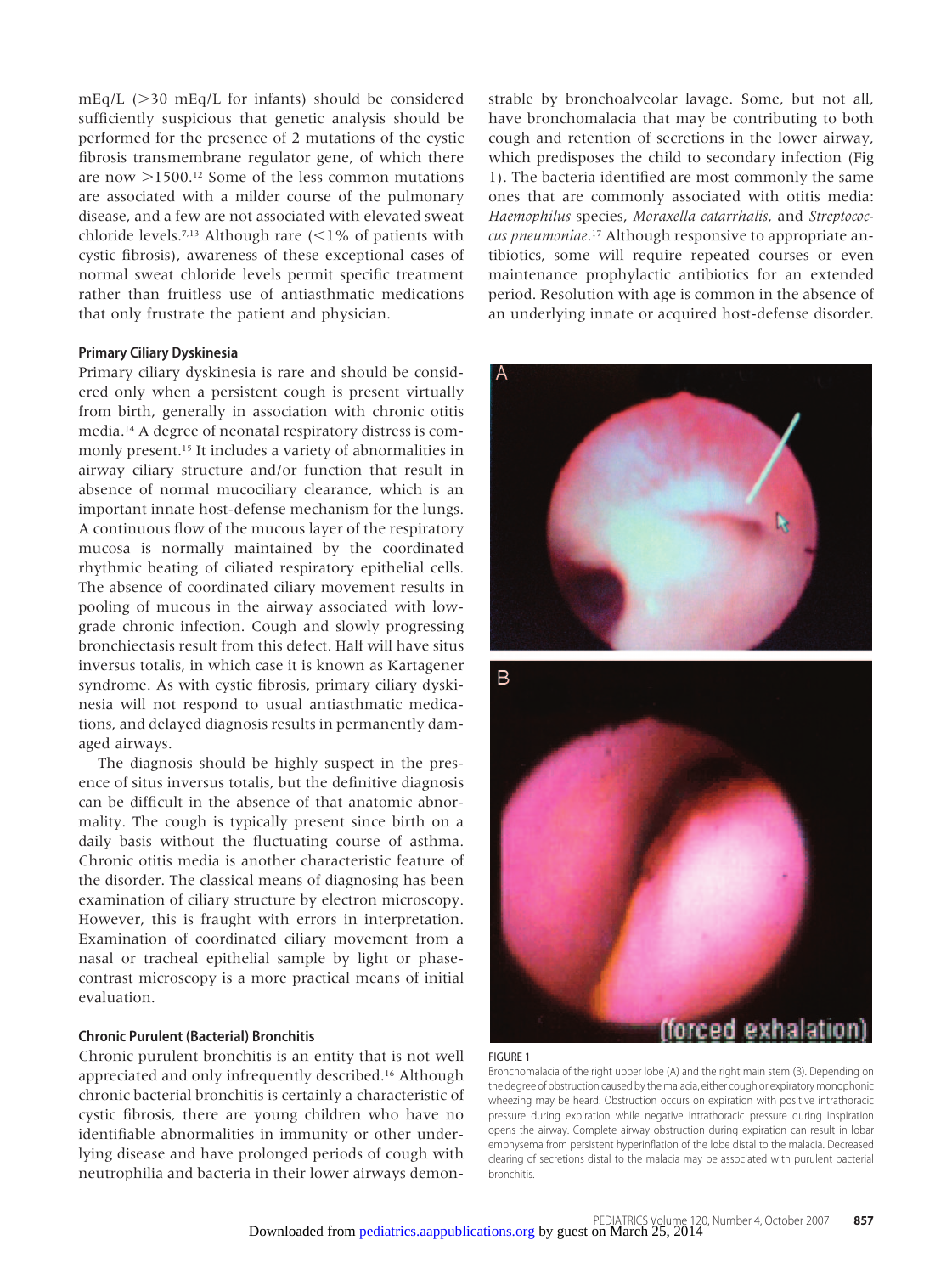$mEq/L$  ( $>$ 30  $mEq/L$  for infants) should be considered sufficiently suspicious that genetic analysis should be performed for the presence of 2 mutations of the cystic fibrosis transmembrane regulator gene, of which there are now  $>1500$ .<sup>12</sup> Some of the less common mutations are associated with a milder course of the pulmonary disease, and a few are not associated with elevated sweat chloride levels.<sup>7,13</sup> Although rare  $\left($  < 1% of patients with cystic fibrosis), awareness of these exceptional cases of normal sweat chloride levels permit specific treatment rather than fruitless use of antiasthmatic medications that only frustrate the patient and physician.

#### **Primary Ciliary Dyskinesia**

Primary ciliary dyskinesia is rare and should be considered only when a persistent cough is present virtually from birth, generally in association with chronic otitis media.14 A degree of neonatal respiratory distress is commonly present.15 It includes a variety of abnormalities in airway ciliary structure and/or function that result in absence of normal mucociliary clearance, which is an important innate host-defense mechanism for the lungs. A continuous flow of the mucous layer of the respiratory mucosa is normally maintained by the coordinated rhythmic beating of ciliated respiratory epithelial cells. The absence of coordinated ciliary movement results in pooling of mucous in the airway associated with lowgrade chronic infection. Cough and slowly progressing bronchiectasis result from this defect. Half will have situs inversus totalis, in which case it is known as Kartagener syndrome. As with cystic fibrosis, primary ciliary dyskinesia will not respond to usual antiasthmatic medications, and delayed diagnosis results in permanently damaged airways.

The diagnosis should be highly suspect in the presence of situs inversus totalis, but the definitive diagnosis can be difficult in the absence of that anatomic abnormality. The cough is typically present since birth on a daily basis without the fluctuating course of asthma. Chronic otitis media is another characteristic feature of the disorder. The classical means of diagnosing has been examination of ciliary structure by electron microscopy. However, this is fraught with errors in interpretation. Examination of coordinated ciliary movement from a nasal or tracheal epithelial sample by light or phasecontrast microscopy is a more practical means of initial evaluation.

# **Chronic Purulent (Bacterial) Bronchitis**

Chronic purulent bronchitis is an entity that is not well appreciated and only infrequently described.<sup>16</sup> Although chronic bacterial bronchitis is certainly a characteristic of cystic fibrosis, there are young children who have no identifiable abnormalities in immunity or other underlying disease and have prolonged periods of cough with neutrophilia and bacteria in their lower airways demonstrable by bronchoalveolar lavage. Some, but not all, have bronchomalacia that may be contributing to both cough and retention of secretions in the lower airway, which predisposes the child to secondary infection (Fig 1). The bacteria identified are most commonly the same ones that are commonly associated with otitis media: *Haemophilus* species, *Moraxella catarrhalis*, and *Streptococcus pneumoniae*.17 Although responsive to appropriate antibiotics, some will require repeated courses or even maintenance prophylactic antibiotics for an extended period. Resolution with age is common in the absence of an underlying innate or acquired host-defense disorder.



#### FIGURE 1

Bronchomalacia of the right upper lobe (A) and the right main stem (B). Depending on the degree of obstruction caused by the malacia, either cough or expiratory monophonic wheezing may be heard. Obstruction occurs on expiration with positive intrathoracic pressure during expiration while negative intrathoracic pressure during inspiration opens the airway. Complete airway obstruction during expiration can result in lobar emphysema from persistent hyperinflation of the lobe distal to the malacia. Decreased [clearing of secretions distal to the malac](http://pediatrics.aappublications.org/)ia may be associated with purulent bacterial bronchitis.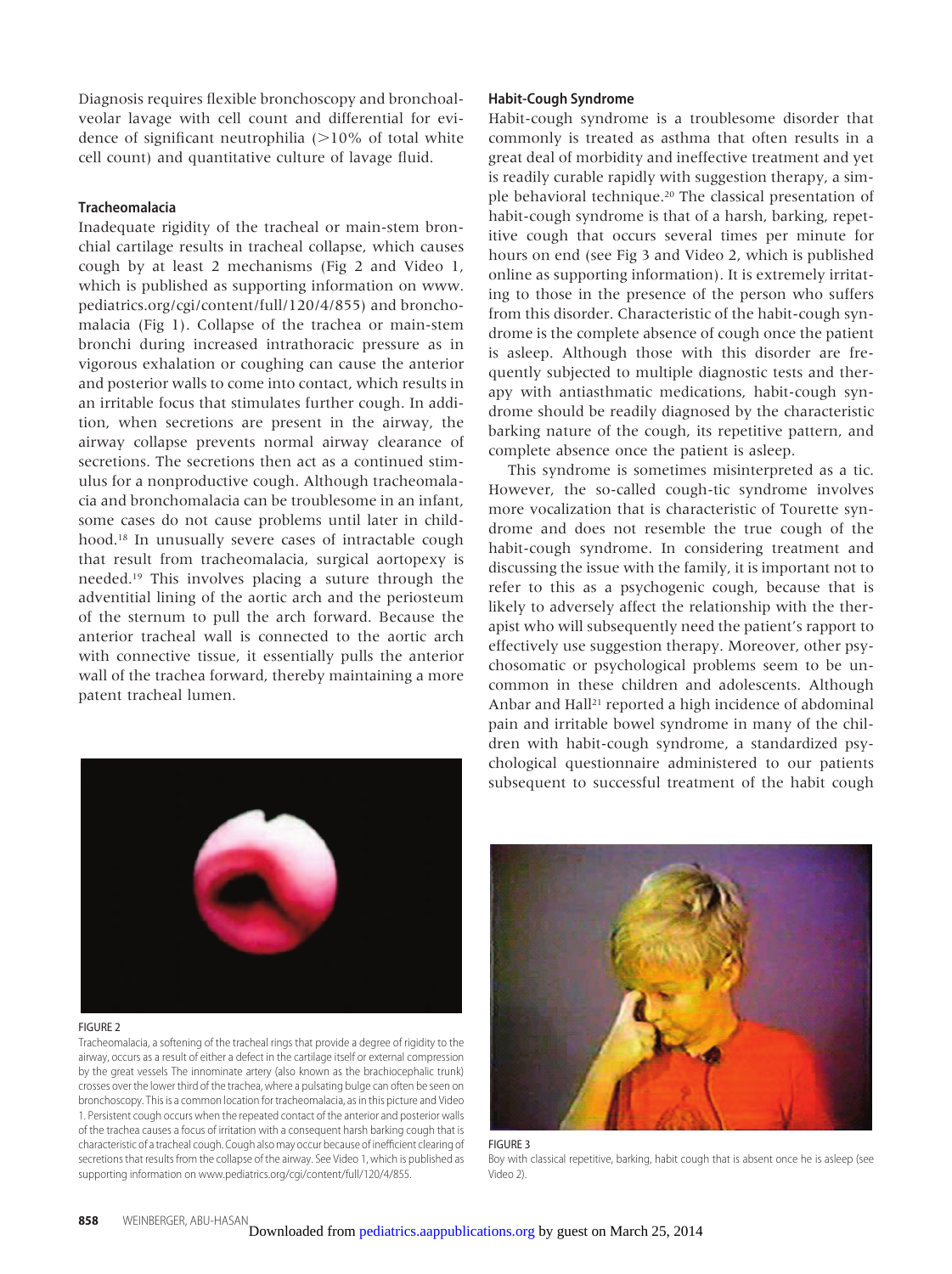Diagnosis requires flexible bronchoscopy and bronchoalveolar lavage with cell count and differential for evidence of significant neutrophilia  $(>10\%$  of total white cell count) and quantitative culture of lavage fluid.

### **Tracheomalacia**

Inadequate rigidity of the tracheal or main-stem bronchial cartilage results in tracheal collapse, which causes cough by at least 2 mechanisms (Fig 2 and Video 1, which is published as supporting information on www. pediatrics.org/cgi/content/full/120/4/855) and bronchomalacia (Fig 1). Collapse of the trachea or main-stem bronchi during increased intrathoracic pressure as in vigorous exhalation or coughing can cause the anterior and posterior walls to come into contact, which results in an irritable focus that stimulates further cough. In addition, when secretions are present in the airway, the airway collapse prevents normal airway clearance of secretions. The secretions then act as a continued stimulus for a nonproductive cough. Although tracheomalacia and bronchomalacia can be troublesome in an infant, some cases do not cause problems until later in childhood.18 In unusually severe cases of intractable cough that result from tracheomalacia, surgical aortopexy is needed.19 This involves placing a suture through the adventitial lining of the aortic arch and the periosteum of the sternum to pull the arch forward. Because the anterior tracheal wall is connected to the aortic arch with connective tissue, it essentially pulls the anterior wall of the trachea forward, thereby maintaining a more patent tracheal lumen.

#### **Habit-Cough Syndrome**

Habit-cough syndrome is a troublesome disorder that commonly is treated as asthma that often results in a great deal of morbidity and ineffective treatment and yet is readily curable rapidly with suggestion therapy, a simple behavioral technique.20 The classical presentation of habit-cough syndrome is that of a harsh, barking, repetitive cough that occurs several times per minute for hours on end (see Fig 3 and Video 2, which is published online as supporting information). It is extremely irritating to those in the presence of the person who suffers from this disorder. Characteristic of the habit-cough syndrome is the complete absence of cough once the patient is asleep. Although those with this disorder are frequently subjected to multiple diagnostic tests and therapy with antiasthmatic medications, habit-cough syndrome should be readily diagnosed by the characteristic barking nature of the cough, its repetitive pattern, and complete absence once the patient is asleep.

This syndrome is sometimes misinterpreted as a tic. However, the so-called cough-tic syndrome involves more vocalization that is characteristic of Tourette syndrome and does not resemble the true cough of the habit-cough syndrome. In considering treatment and discussing the issue with the family, it is important not to refer to this as a psychogenic cough, because that is likely to adversely affect the relationship with the therapist who will subsequently need the patient's rapport to effectively use suggestion therapy. Moreover, other psychosomatic or psychological problems seem to be uncommon in these children and adolescents. Although Anbar and Hall<sup>21</sup> reported a high incidence of abdominal pain and irritable bowel syndrome in many of the children with habit-cough syndrome, a standardized psychological questionnaire administered to our patients subsequent to successful treatment of the habit cough



#### FIGURE 2

Tracheomalacia, a softening of the tracheal rings that provide a degree of rigidity to the airway, occurs as a result of either a defect in the cartilage itself or external compression by the great vessels The innominate artery (also known as the brachiocephalic trunk) crosses over the lower third of the trachea, where a pulsating bulge can often be seen on bronchoscopy. This is a common location for tracheomalacia, as in this picture and Video 1. Persistent cough occurs when the repeated contact of the anterior and posterior walls of the trachea causes a focus of irritation with a consequent harsh barking cough that is characteristic of atracheal cough. Cough also may occur because of inefficient clearing of secretions that results from the collapse of the airway. See Video 1, which is published as supporting information on www.pediatrics.org/cgi/content/full/120/4/855.



FIGURE 3 [Boy with classical repetitive, barking, hab](http://pediatrics.aappublications.org/)it cough that is absent once he is asleep (see Video 2).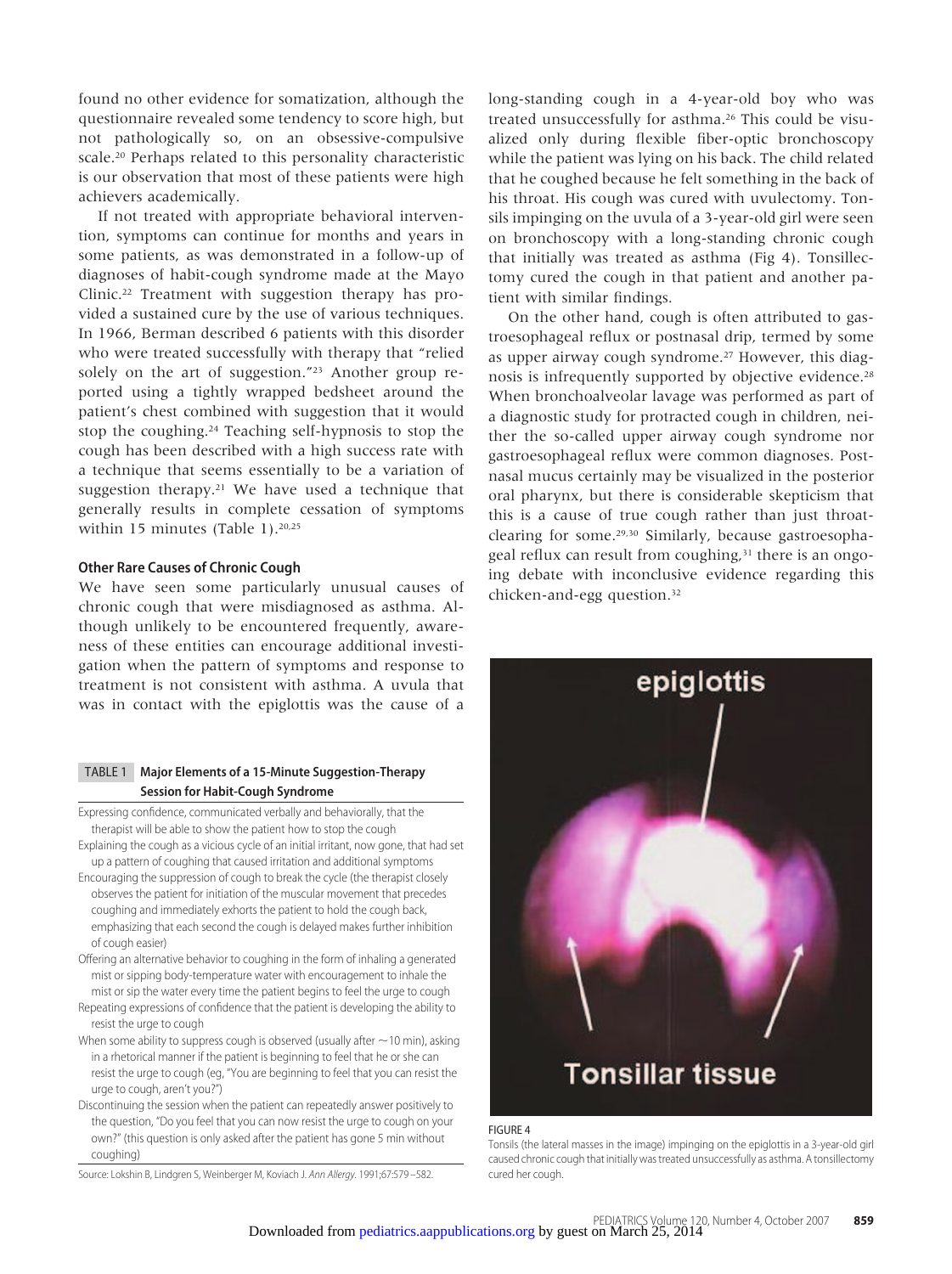found no other evidence for somatization, although the questionnaire revealed some tendency to score high, but not pathologically so, on an obsessive-compulsive scale.20 Perhaps related to this personality characteristic is our observation that most of these patients were high achievers academically.

If not treated with appropriate behavioral intervention, symptoms can continue for months and years in some patients, as was demonstrated in a follow-up of diagnoses of habit-cough syndrome made at the Mayo Clinic.22 Treatment with suggestion therapy has provided a sustained cure by the use of various techniques. In 1966, Berman described 6 patients with this disorder who were treated successfully with therapy that "relied solely on the art of suggestion."23 Another group reported using a tightly wrapped bedsheet around the patient's chest combined with suggestion that it would stop the coughing.24 Teaching self-hypnosis to stop the cough has been described with a high success rate with a technique that seems essentially to be a variation of suggestion therapy.21 We have used a technique that generally results in complete cessation of symptoms within 15 minutes (Table 1).<sup>20,25</sup>

# **Other Rare Causes of Chronic Cough**

We have seen some particularly unusual causes of chronic cough that were misdiagnosed as asthma. Although unlikely to be encountered frequently, awareness of these entities can encourage additional investigation when the pattern of symptoms and response to treatment is not consistent with asthma. A uvula that was in contact with the epiglottis was the cause of a

# TABLE 1 **Major Elements of a 15-Minute Suggestion-Therapy Session for Habit-Cough Syndrome**

Expressing confidence, communicated verbally and behaviorally, that the therapist will be able to show the patient how to stop the cough

- Explaining the cough as a vicious cycle of an initial irritant, now gone, that had set up a pattern of coughing that caused irritation and additional symptoms
- Encouraging the suppression of cough to break the cycle (the therapist closely observes the patient for initiation of the muscular movement that precedes coughing and immediately exhorts the patient to hold the cough back, emphasizing that each second the cough is delayed makes further inhibition of cough easier)
- Offering an alternative behavior to coughing in the form of inhaling a generated mist or sipping body-temperature water with encouragement to inhale the mist or sip the water every time the patient begins to feel the urge to cough
- Repeating expressions of confidence that the patient is developing the ability to resist the urge to cough
- When some ability to suppress cough is observed (usually after  $\sim$  10 min), asking in a rhetorical manner if the patient is beginning to feel that he or she can resist the urge to cough (eg, "You are beginning to feel that you can resist the urge to cough, aren't you?")
- Discontinuing the session when the patient can repeatedly answer positively to the question, "Do you feel that you can now resist the urge to cough on your own?" (this question is only asked after the patient has gone 5 min without coughing)

Source: Lokshin B, Lindgren S, Weinberger M, Koviach J. Ann Allergy. 1991;67:579 –582.

long-standing cough in a 4-year-old boy who was treated unsuccessfully for asthma.26 This could be visualized only during flexible fiber-optic bronchoscopy while the patient was lying on his back. The child related that he coughed because he felt something in the back of his throat. His cough was cured with uvulectomy. Tonsils impinging on the uvula of a 3-year-old girl were seen on bronchoscopy with a long-standing chronic cough that initially was treated as asthma (Fig 4). Tonsillectomy cured the cough in that patient and another patient with similar findings.

On the other hand, cough is often attributed to gastroesophageal reflux or postnasal drip, termed by some as upper airway cough syndrome.27 However, this diagnosis is infrequently supported by objective evidence.28 When bronchoalveolar lavage was performed as part of a diagnostic study for protracted cough in children, neither the so-called upper airway cough syndrome nor gastroesophageal reflux were common diagnoses. Postnasal mucus certainly may be visualized in the posterior oral pharynx, but there is considerable skepticism that this is a cause of true cough rather than just throatclearing for some.29,30 Similarly, because gastroesophageal reflux can result from coughing,<sup>31</sup> there is an ongoing debate with inconclusive evidence regarding this chicken-and-egg question.32



#### FIGURE 4

Tonsils (the lateral masses in the image) impinging on the epiglottis in a 3-year-old girl [caused chronic cough that initially was tre](http://pediatrics.aappublications.org/)ated unsuccessfully as asthma. A tonsillectomy cured her cough.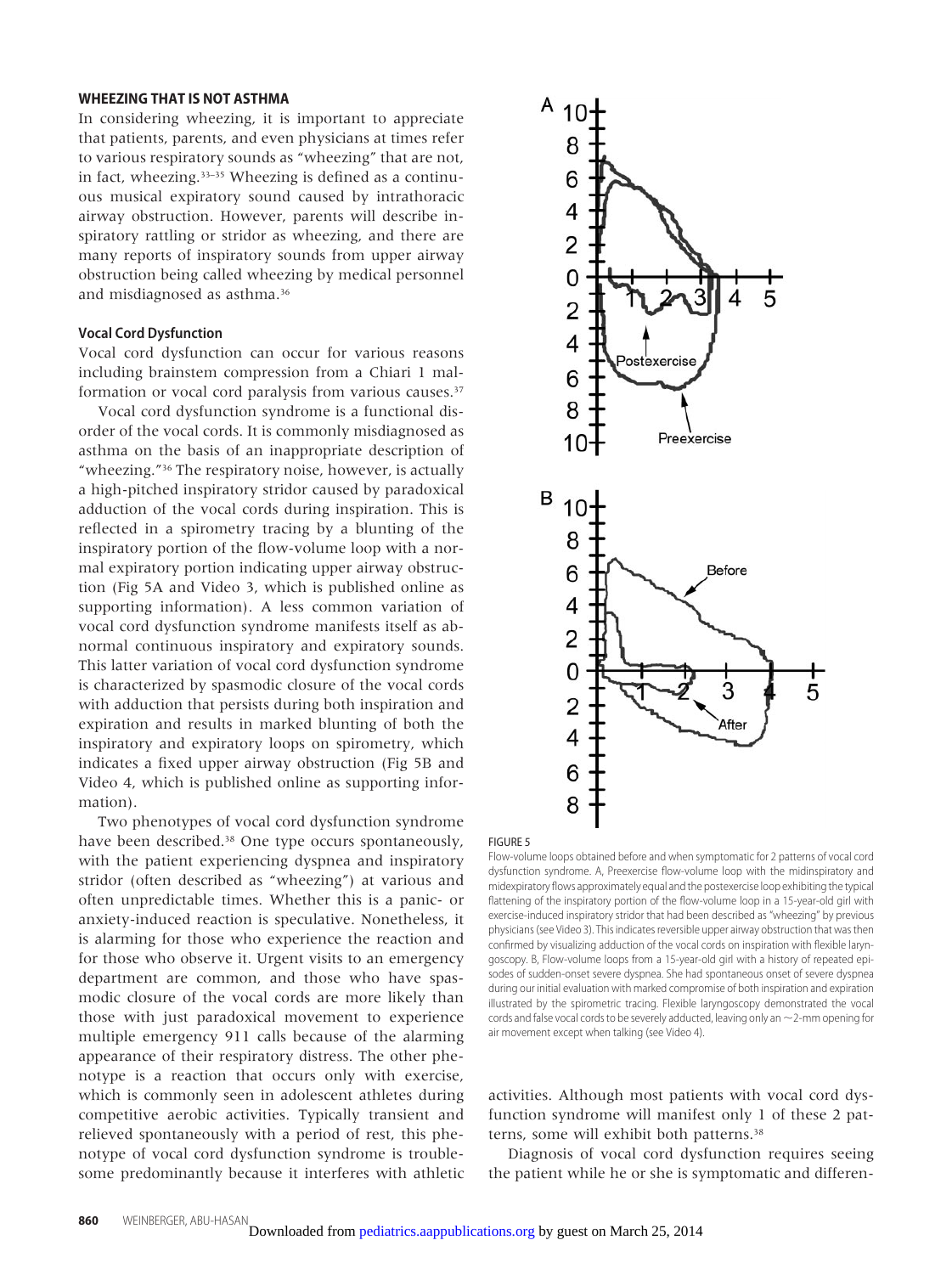#### **WHEEZING THAT IS NOT ASTHMA**

In considering wheezing, it is important to appreciate that patients, parents, and even physicians at times refer to various respiratory sounds as "wheezing" that are not, in fact, wheezing.33–35 Wheezing is defined as a continuous musical expiratory sound caused by intrathoracic airway obstruction. However, parents will describe inspiratory rattling or stridor as wheezing, and there are many reports of inspiratory sounds from upper airway obstruction being called wheezing by medical personnel and misdiagnosed as asthma.36

#### **Vocal Cord Dysfunction**

Vocal cord dysfunction can occur for various reasons including brainstem compression from a Chiari 1 malformation or vocal cord paralysis from various causes.<sup>37</sup>

Vocal cord dysfunction syndrome is a functional disorder of the vocal cords. It is commonly misdiagnosed as asthma on the basis of an inappropriate description of "wheezing."36 The respiratory noise, however, is actually a high-pitched inspiratory stridor caused by paradoxical adduction of the vocal cords during inspiration. This is reflected in a spirometry tracing by a blunting of the inspiratory portion of the flow-volume loop with a normal expiratory portion indicating upper airway obstruction (Fig 5A and Video 3, which is published online as supporting information). A less common variation of vocal cord dysfunction syndrome manifests itself as abnormal continuous inspiratory and expiratory sounds. This latter variation of vocal cord dysfunction syndrome is characterized by spasmodic closure of the vocal cords with adduction that persists during both inspiration and expiration and results in marked blunting of both the inspiratory and expiratory loops on spirometry, which indicates a fixed upper airway obstruction (Fig 5B and Video 4, which is published online as supporting information).

Two phenotypes of vocal cord dysfunction syndrome have been described.<sup>38</sup> One type occurs spontaneously, with the patient experiencing dyspnea and inspiratory stridor (often described as "wheezing") at various and often unpredictable times. Whether this is a panic- or anxiety-induced reaction is speculative. Nonetheless, it is alarming for those who experience the reaction and for those who observe it. Urgent visits to an emergency department are common, and those who have spasmodic closure of the vocal cords are more likely than those with just paradoxical movement to experience multiple emergency 911 calls because of the alarming appearance of their respiratory distress. The other phenotype is a reaction that occurs only with exercise, which is commonly seen in adolescent athletes during competitive aerobic activities. Typically transient and relieved spontaneously with a period of rest, this phenotype of vocal cord dysfunction syndrome is troublesome predominantly because it interferes with athletic





Flow-volume loops obtained before and when symptomatic for 2 patterns of vocal cord dysfunction syndrome. A, Preexercise flow-volume loop with the midinspiratory and midexpiratory flows approximately equal and the postexercise loop exhibiting the typical flattening of the inspiratory portion of the flow-volume loop in a 15-year-old girl with exercise-induced inspiratory stridor that had been described as "wheezing" by previous physicians (see Video 3). This indicates reversible upper airway obstruction that was then confirmed by visualizing adduction of the vocal cords on inspiration with flexible laryngoscopy. B, Flow-volume loops from a 15-year-old girl with a history of repeated episodes of sudden-onset severe dyspnea. She had spontaneous onset of severe dyspnea during our initial evaluation with marked compromise of both inspiration and expiration illustrated by the spirometric tracing. Flexible laryngoscopy demonstrated the vocal cords and false vocal cords to be severely adducted, leaving only an  $\sim$  2-mm opening for air movement except when talking (see Video 4).

activities. Although most patients with vocal cord dysfunction syndrome will manifest only 1 of these 2 patterns, some will exhibit both patterns.<sup>38</sup>

Diagnosis of vocal cord dysfunction requires seeing [the](http://pediatrics.aappublications.org/) [patient](http://pediatrics.aappublications.org/) [while](http://pediatrics.aappublications.org/) [he](http://pediatrics.aappublications.org/) [or](http://pediatrics.aappublications.org/) [she](http://pediatrics.aappublications.org/) is symptomatic and differen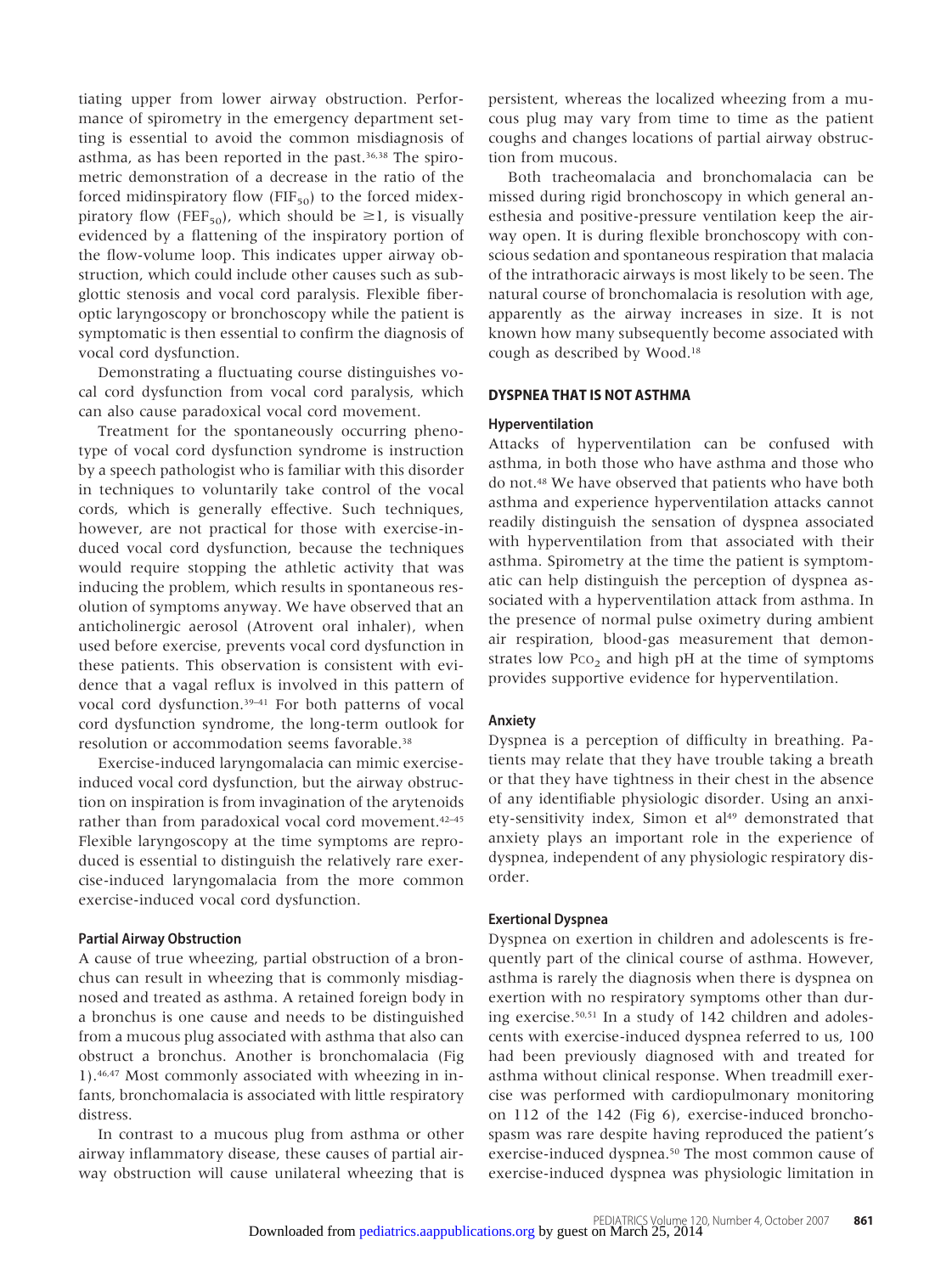tiating upper from lower airway obstruction. Performance of spirometry in the emergency department setting is essential to avoid the common misdiagnosis of asthma, as has been reported in the past.<sup>36,38</sup> The spirometric demonstration of a decrease in the ratio of the forced midinspiratory flow ( $FIF_{50}$ ) to the forced midexpiratory flow (FEF<sub>50</sub>), which should be  $\geq$ 1, is visually evidenced by a flattening of the inspiratory portion of the flow-volume loop. This indicates upper airway obstruction, which could include other causes such as subglottic stenosis and vocal cord paralysis. Flexible fiberoptic laryngoscopy or bronchoscopy while the patient is symptomatic is then essential to confirm the diagnosis of vocal cord dysfunction.

Demonstrating a fluctuating course distinguishes vocal cord dysfunction from vocal cord paralysis, which can also cause paradoxical vocal cord movement.

Treatment for the spontaneously occurring phenotype of vocal cord dysfunction syndrome is instruction by a speech pathologist who is familiar with this disorder in techniques to voluntarily take control of the vocal cords, which is generally effective. Such techniques, however, are not practical for those with exercise-induced vocal cord dysfunction, because the techniques would require stopping the athletic activity that was inducing the problem, which results in spontaneous resolution of symptoms anyway. We have observed that an anticholinergic aerosol (Atrovent oral inhaler), when used before exercise, prevents vocal cord dysfunction in these patients. This observation is consistent with evidence that a vagal reflux is involved in this pattern of vocal cord dysfunction.39–41 For both patterns of vocal cord dysfunction syndrome, the long-term outlook for resolution or accommodation seems favorable.<sup>38</sup>

Exercise-induced laryngomalacia can mimic exerciseinduced vocal cord dysfunction, but the airway obstruction on inspiration is from invagination of the arytenoids rather than from paradoxical vocal cord movement.42–45 Flexible laryngoscopy at the time symptoms are reproduced is essential to distinguish the relatively rare exercise-induced laryngomalacia from the more common exercise-induced vocal cord dysfunction.

# **Partial Airway Obstruction**

A cause of true wheezing, partial obstruction of a bronchus can result in wheezing that is commonly misdiagnosed and treated as asthma. A retained foreign body in a bronchus is one cause and needs to be distinguished from a mucous plug associated with asthma that also can obstruct a bronchus. Another is bronchomalacia (Fig 1).46,47 Most commonly associated with wheezing in infants, bronchomalacia is associated with little respiratory distress.

In contrast to a mucous plug from asthma or other airway inflammatory disease, these causes of partial airway obstruction will cause unilateral wheezing that is persistent, whereas the localized wheezing from a mucous plug may vary from time to time as the patient coughs and changes locations of partial airway obstruction from mucous.

Both tracheomalacia and bronchomalacia can be missed during rigid bronchoscopy in which general anesthesia and positive-pressure ventilation keep the airway open. It is during flexible bronchoscopy with conscious sedation and spontaneous respiration that malacia of the intrathoracic airways is most likely to be seen. The natural course of bronchomalacia is resolution with age, apparently as the airway increases in size. It is not known how many subsequently become associated with cough as described by Wood.18

## **DYSPNEA THAT IS NOT ASTHMA**

# **Hyperventilation**

Attacks of hyperventilation can be confused with asthma, in both those who have asthma and those who do not.48 We have observed that patients who have both asthma and experience hyperventilation attacks cannot readily distinguish the sensation of dyspnea associated with hyperventilation from that associated with their asthma. Spirometry at the time the patient is symptomatic can help distinguish the perception of dyspnea associated with a hyperventilation attack from asthma. In the presence of normal pulse oximetry during ambient air respiration, blood-gas measurement that demonstrates low  $Pco<sub>2</sub>$  and high pH at the time of symptoms provides supportive evidence for hyperventilation.

#### **Anxiety**

Dyspnea is a perception of difficulty in breathing. Patients may relate that they have trouble taking a breath or that they have tightness in their chest in the absence of any identifiable physiologic disorder. Using an anxiety-sensitivity index, Simon et al<sup>49</sup> demonstrated that anxiety plays an important role in the experience of dyspnea, independent of any physiologic respiratory disorder.

#### **Exertional Dyspnea**

Dyspnea on exertion in children and adolescents is frequently part of the clinical course of asthma. However, asthma is rarely the diagnosis when there is dyspnea on exertion with no respiratory symptoms other than during exercise.50,51 In a study of 142 children and adolescents with exercise-induced dyspnea referred to us, 100 had been previously diagnosed with and treated for asthma without clinical response. When treadmill exercise was performed with cardiopulmonary monitoring on 112 of the 142 (Fig 6), exercise-induced bronchospasm was rare despite having reproduced the patient's exercise-induced dyspnea.<sup>50</sup> The most common cause of [exercise-induced](http://pediatrics.aappublications.org/) [dyspnea](http://pediatrics.aappublications.org/) was physiologic limitation in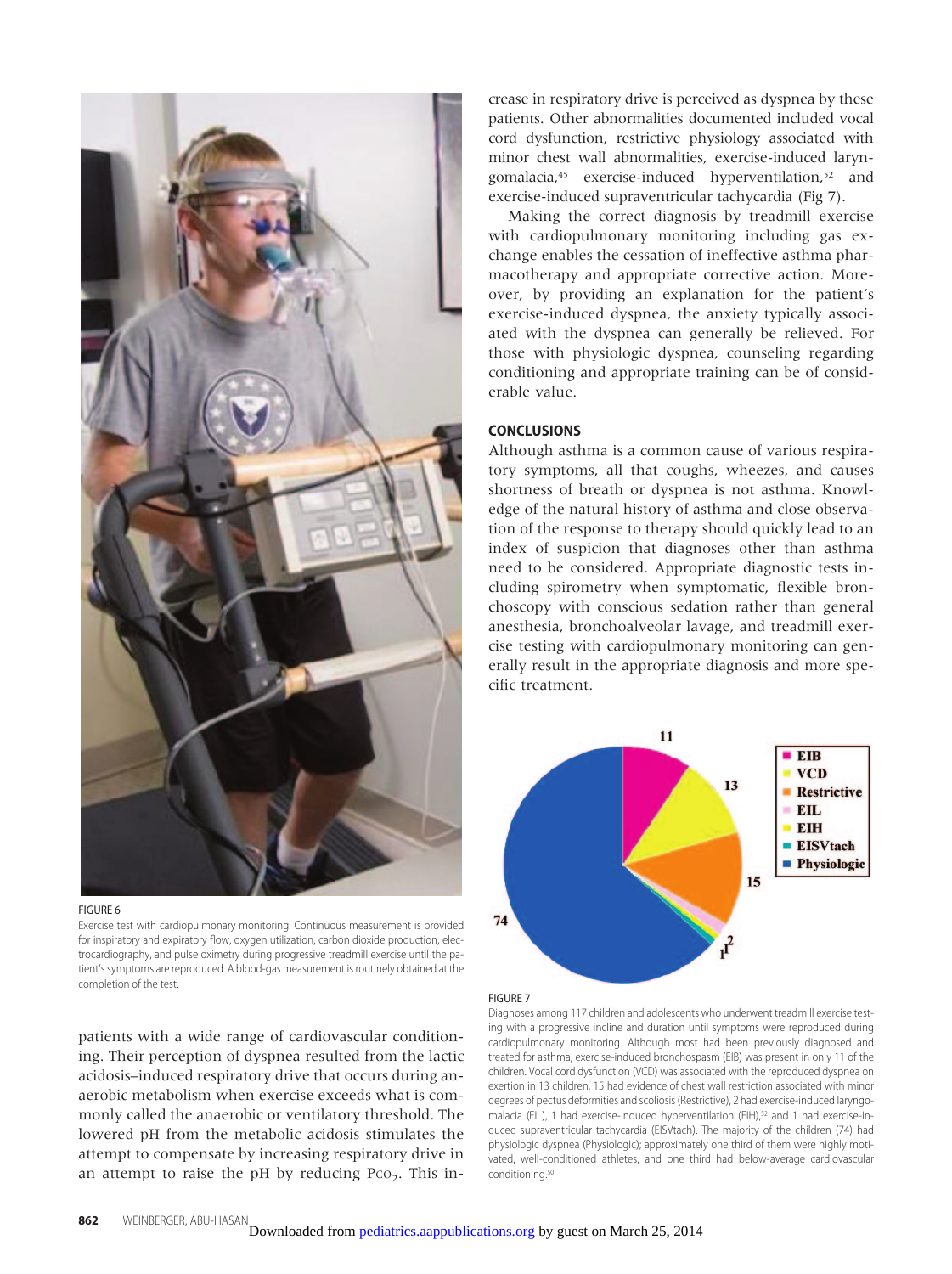



Exercise test with cardiopulmonary monitoring. Continuous measurement is provided for inspiratory and expiratory flow, oxygen utilization, carbon dioxide production, electrocardiography, and pulse oximetry during progressive treadmill exercise until the patient's symptoms are reproduced. A blood-gas measurement is routinely obtained at the completion of the test.

patients with a wide range of cardiovascular conditioning. Their perception of dyspnea resulted from the lactic acidosis–induced respiratory drive that occurs during anaerobic metabolism when exercise exceeds what is commonly called the anaerobic or ventilatory threshold. The lowered pH from the metabolic acidosis stimulates the attempt to compensate by increasing respiratory drive in an attempt to raise the pH by reducing  $P_{CO_2}$ . This increase in respiratory drive is perceived as dyspnea by these patients. Other abnormalities documented included vocal cord dysfunction, restrictive physiology associated with minor chest wall abnormalities, exercise-induced laryngomalacia,45 exercise-induced hyperventilation,52 and exercise-induced supraventricular tachycardia (Fig 7).

Making the correct diagnosis by treadmill exercise with cardiopulmonary monitoring including gas exchange enables the cessation of ineffective asthma pharmacotherapy and appropriate corrective action. Moreover, by providing an explanation for the patient's exercise-induced dyspnea, the anxiety typically associated with the dyspnea can generally be relieved. For those with physiologic dyspnea, counseling regarding conditioning and appropriate training can be of considerable value.

# **CONCLUSIONS**

Although asthma is a common cause of various respiratory symptoms, all that coughs, wheezes, and causes shortness of breath or dyspnea is not asthma. Knowledge of the natural history of asthma and close observation of the response to therapy should quickly lead to an index of suspicion that diagnoses other than asthma need to be considered. Appropriate diagnostic tests including spirometry when symptomatic, flexible bronchoscopy with conscious sedation rather than general anesthesia, bronchoalveolar lavage, and treadmill exercise testing with cardiopulmonary monitoring can generally result in the appropriate diagnosis and more specific treatment.



#### FIGURE 7

Diagnoses among 117 children and adolescents who underwent treadmill exercise testing with a progressive incline and duration until symptoms were reproduced during cardiopulmonary monitoring. Although most had been previously diagnosed and treated for asthma, exercise-induced bronchospasm (EIB) was present in only 11 of the children. Vocal cord dysfunction (VCD) was associated with the reproduced dyspnea on exertion in 13 children, 15 had evidence of chest wall restriction associated with minor degrees of pectus deformities and scoliosis (Restrictive), 2 had exercise-induced laryngomalacia (EIL), 1 had exercise-induced hyperventilation (EIH),<sup>52</sup> and 1 had exercise-induced supraventricular tachycardia (EISVtach). The majority of the children (74) had physiologic dyspnea (Physiologic); approximately one third of them were highly moti[vated, well-conditioned athletes, and o](http://pediatrics.aappublications.org/)ne third had below-average cardiovascular conditioning.50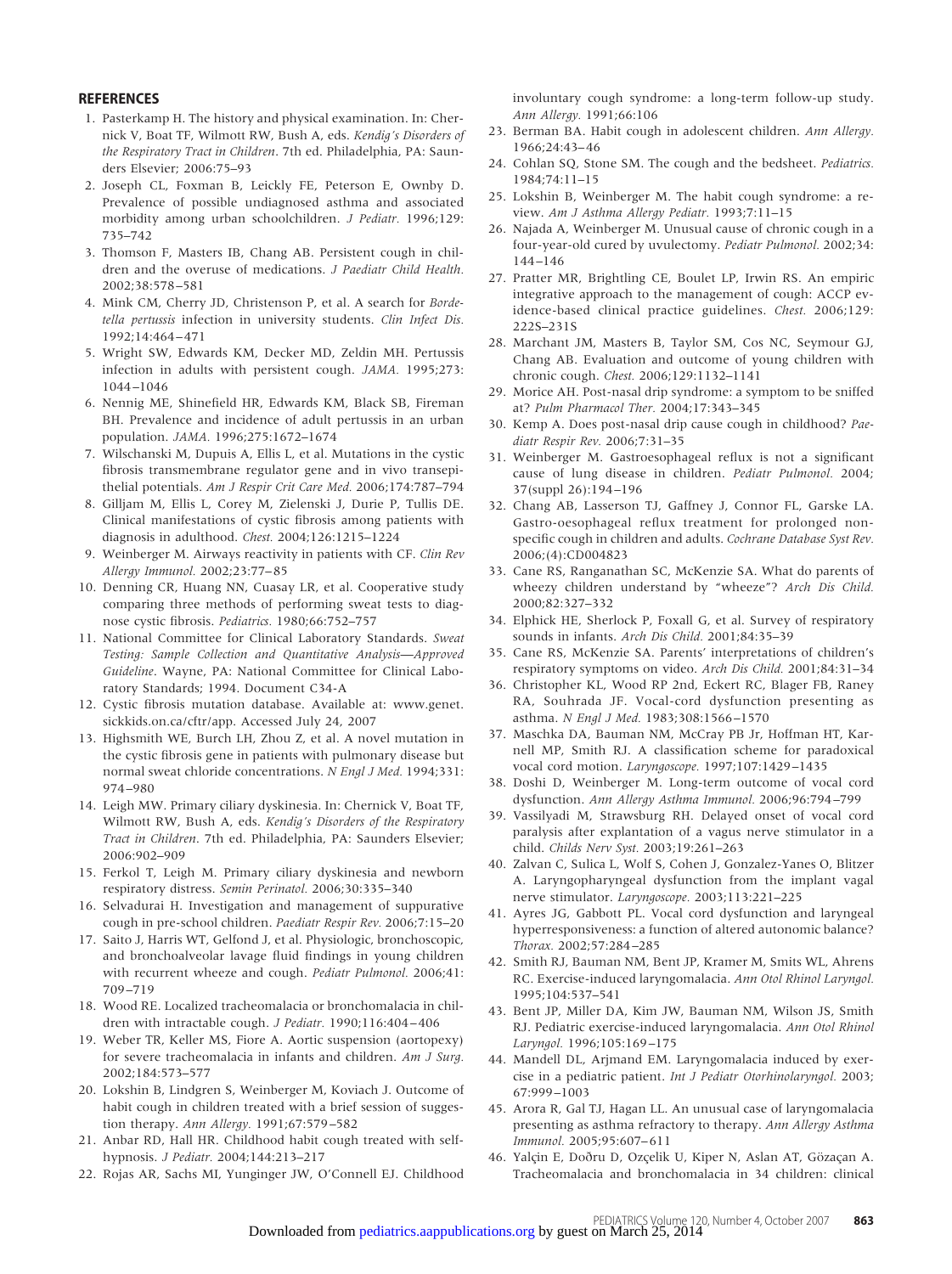#### **REFERENCES**

- 1. Pasterkamp H. The history and physical examination. In: Chernick V, Boat TF, Wilmott RW, Bush A, eds. *Kendig's Disorders of the Respiratory Tract in Children*. 7th ed. Philadelphia, PA: Saunders Elsevier; 2006:75–93
- 2. Joseph CL, Foxman B, Leickly FE, Peterson E, Ownby D. Prevalence of possible undiagnosed asthma and associated morbidity among urban schoolchildren. *J Pediatr.* 1996;129: 735–742
- 3. Thomson F, Masters IB, Chang AB. Persistent cough in children and the overuse of medications. *J Paediatr Child Health.* 2002;38:578 –581
- 4. Mink CM, Cherry JD, Christenson P, et al. A search for *Bordetella pertussis* infection in university students. *Clin Infect Dis.* 1992;14:464 – 471
- 5. Wright SW, Edwards KM, Decker MD, Zeldin MH. Pertussis infection in adults with persistent cough. *JAMA.* 1995;273: 1044 –1046
- 6. Nennig ME, Shinefield HR, Edwards KM, Black SB, Fireman BH. Prevalence and incidence of adult pertussis in an urban population. *JAMA.* 1996;275:1672–1674
- 7. Wilschanski M, Dupuis A, Ellis L, et al. Mutations in the cystic fibrosis transmembrane regulator gene and in vivo transepithelial potentials. *Am J Respir Crit Care Med.* 2006;174:787–794
- 8. Gilljam M, Ellis L, Corey M, Zielenski J, Durie P, Tullis DE. Clinical manifestations of cystic fibrosis among patients with diagnosis in adulthood. *Chest.* 2004;126:1215–1224
- 9. Weinberger M. Airways reactivity in patients with CF. *Clin Rev Allergy Immunol.* 2002;23:77– 85
- 10. Denning CR, Huang NN, Cuasay LR, et al. Cooperative study comparing three methods of performing sweat tests to diagnose cystic fibrosis. *Pediatrics.* 1980;66:752–757
- 11. National Committee for Clinical Laboratory Standards. *Sweat Testing: Sample Collection and Quantitative Analysis*—*Approved Guideline*. Wayne, PA: National Committee for Clinical Laboratory Standards; 1994. Document C34-A
- 12. Cystic fibrosis mutation database. Available at: www.genet. sickkids.on.ca/cftr/app. Accessed July 24, 2007
- 13. Highsmith WE, Burch LH, Zhou Z, et al. A novel mutation in the cystic fibrosis gene in patients with pulmonary disease but normal sweat chloride concentrations. *N Engl J Med.* 1994;331: 974 –980
- 14. Leigh MW. Primary ciliary dyskinesia. In: Chernick V, Boat TF, Wilmott RW, Bush A, eds. *Kendig's Disorders of the Respiratory Tract in Children*. 7th ed. Philadelphia, PA: Saunders Elsevier; 2006:902–909
- 15. Ferkol T, Leigh M. Primary ciliary dyskinesia and newborn respiratory distress. *Semin Perinatol.* 2006;30:335–340
- 16. Selvadurai H. Investigation and management of suppurative cough in pre-school children. *Paediatr Respir Rev.* 2006;7:15–20
- 17. Saito J, Harris WT, Gelfond J, et al. Physiologic, bronchoscopic, and bronchoalveolar lavage fluid findings in young children with recurrent wheeze and cough. *Pediatr Pulmonol.* 2006;41: 709 –719
- 18. Wood RE. Localized tracheomalacia or bronchomalacia in children with intractable cough. *J Pediatr.* 1990;116:404 – 406
- 19. Weber TR, Keller MS, Fiore A. Aortic suspension (aortopexy) for severe tracheomalacia in infants and children. *Am J Surg.* 2002;184:573–577
- 20. Lokshin B, Lindgren S, Weinberger M, Koviach J. Outcome of habit cough in children treated with a brief session of suggestion therapy. *Ann Allergy.* 1991;67:579 –582
- 21. Anbar RD, Hall HR. Childhood habit cough treated with selfhypnosis. *J Pediatr.* 2004;144:213–217
- 22. Rojas AR, Sachs MI, Yunginger JW, O'Connell EJ. Childhood

involuntary cough syndrome: a long-term follow-up study. *Ann Allergy.* 1991;66:106

- 23. Berman BA. Habit cough in adolescent children. *Ann Allergy.* 1966;24:43– 46
- 24. Cohlan SQ, Stone SM. The cough and the bedsheet. *Pediatrics.* 1984;74:11–15
- 25. Lokshin B, Weinberger M. The habit cough syndrome: a review. *Am J Asthma Allergy Pediatr.* 1993;7:11–15
- 26. Najada A, Weinberger M. Unusual cause of chronic cough in a four-year-old cured by uvulectomy. *Pediatr Pulmonol.* 2002;34: 144 –146
- 27. Pratter MR, Brightling CE, Boulet LP, Irwin RS. An empiric integrative approach to the management of cough: ACCP evidence-based clinical practice guidelines. *Chest.* 2006;129: 222S–231S
- 28. Marchant JM, Masters B, Taylor SM, Cos NC, Seymour GJ, Chang AB. Evaluation and outcome of young children with chronic cough. *Chest.* 2006;129:1132–1141
- 29. Morice AH. Post-nasal drip syndrome: a symptom to be sniffed at? *Pulm Pharmacol Ther.* 2004;17:343–345
- 30. Kemp A. Does post-nasal drip cause cough in childhood? *Paediatr Respir Rev.* 2006;7:31–35
- 31. Weinberger M. Gastroesophageal reflux is not a significant cause of lung disease in children. *Pediatr Pulmonol.* 2004; 37(suppl 26):194 –196
- 32. Chang AB, Lasserson TJ, Gaffney J, Connor FL, Garske LA. Gastro-oesophageal reflux treatment for prolonged nonspecific cough in children and adults. *Cochrane Database Syst Rev.* 2006;(4):CD004823
- 33. Cane RS, Ranganathan SC, McKenzie SA. What do parents of wheezy children understand by "wheeze"? *Arch Dis Child.* 2000;82:327–332
- 34. Elphick HE, Sherlock P, Foxall G, et al. Survey of respiratory sounds in infants. *Arch Dis Child.* 2001;84:35–39
- 35. Cane RS, McKenzie SA. Parents' interpretations of children's respiratory symptoms on video. *Arch Dis Child.* 2001;84:31–34
- 36. Christopher KL, Wood RP 2nd, Eckert RC, Blager FB, Raney RA, Souhrada JF. Vocal-cord dysfunction presenting as asthma. *N Engl J Med.* 1983;308:1566 –1570
- 37. Maschka DA, Bauman NM, McCray PB Jr, Hoffman HT, Karnell MP, Smith RJ. A classification scheme for paradoxical vocal cord motion. *Laryngoscope.* 1997;107:1429 –1435
- 38. Doshi D, Weinberger M. Long-term outcome of vocal cord dysfunction. *Ann Allergy Asthma Immunol.* 2006;96:794 –799
- 39. Vassilyadi M, Strawsburg RH. Delayed onset of vocal cord paralysis after explantation of a vagus nerve stimulator in a child. *Childs Nerv Syst.* 2003;19:261–263
- 40. Zalvan C, Sulica L, Wolf S, Cohen J, Gonzalez-Yanes O, Blitzer A. Laryngopharyngeal dysfunction from the implant vagal nerve stimulator. *Laryngoscope.* 2003;113:221–225
- 41. Ayres JG, Gabbott PL. Vocal cord dysfunction and laryngeal hyperresponsiveness: a function of altered autonomic balance? *Thorax.* 2002;57:284 –285
- 42. Smith RJ, Bauman NM, Bent JP, Kramer M, Smits WL, Ahrens RC. Exercise-induced laryngomalacia. *Ann Otol Rhinol Laryngol.* 1995;104:537–541
- 43. Bent JP, Miller DA, Kim JW, Bauman NM, Wilson JS, Smith RJ. Pediatric exercise-induced laryngomalacia. *Ann Otol Rhinol Laryngol.* 1996;105:169 –175
- 44. Mandell DL, Arjmand EM. Laryngomalacia induced by exercise in a pediatric patient. *Int J Pediatr Otorhinolaryngol.* 2003; 67:999 –1003
- 45. Arora R, Gal TJ, Hagan LL. An unusual case of laryngomalacia presenting as asthma refractory to therapy. *Ann Allergy Asthma Immunol.* 2005;95:607– 611
- 46. Yalçin E, Doðru D, Ozçelik U, Kiper N, Aslan AT, Gözaçan A. Tracheomalacia and bronchomalacia in 34 children: clinical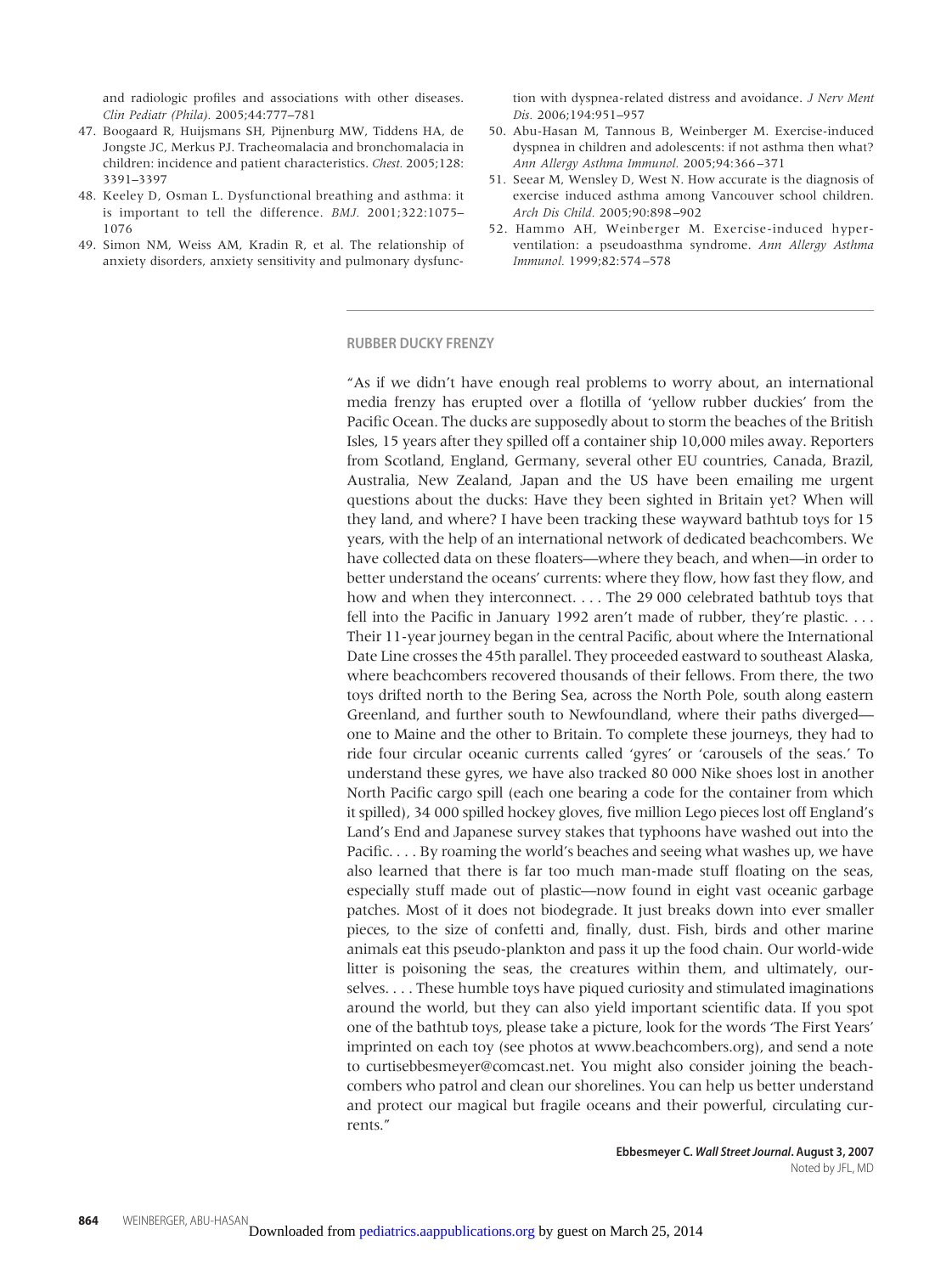and radiologic profiles and associations with other diseases. *Clin Pediatr (Phila).* 2005;44:777–781

- 47. Boogaard R, Huijsmans SH, Pijnenburg MW, Tiddens HA, de Jongste JC, Merkus PJ. Tracheomalacia and bronchomalacia in children: incidence and patient characteristics. *Chest.* 2005;128: 3391–3397
- 48. Keeley D, Osman L. Dysfunctional breathing and asthma: it is important to tell the difference. *BMJ.* 2001;322:1075– 1076
- 49. Simon NM, Weiss AM, Kradin R, et al. The relationship of anxiety disorders, anxiety sensitivity and pulmonary dysfunc-

tion with dyspnea-related distress and avoidance. *J Nerv Ment Dis.* 2006;194:951–957

- 50. Abu-Hasan M, Tannous B, Weinberger M. Exercise-induced dyspnea in children and adolescents: if not asthma then what? *Ann Allergy Asthma Immunol.* 2005;94:366 –371
- 51. Seear M, Wensley D, West N. How accurate is the diagnosis of exercise induced asthma among Vancouver school children. *Arch Dis Child.* 2005;90:898 –902
- 52. Hammo AH, Weinberger M. Exercise-induced hyperventilation: a pseudoasthma syndrome. *Ann Allergy Asthma Immunol.* 1999;82:574 –578

#### **RUBBER DUCKY FRENZY**

"As if we didn't have enough real problems to worry about, an international media frenzy has erupted over a flotilla of 'yellow rubber duckies' from the Pacific Ocean. The ducks are supposedly about to storm the beaches of the British Isles, 15 years after they spilled off a container ship 10,000 miles away. Reporters from Scotland, England, Germany, several other EU countries, Canada, Brazil, Australia, New Zealand, Japan and the US have been emailing me urgent questions about the ducks: Have they been sighted in Britain yet? When will they land, and where? I have been tracking these wayward bathtub toys for 15 years, with the help of an international network of dedicated beachcombers. We have collected data on these floaters—where they beach, and when—in order to better understand the oceans' currents: where they flow, how fast they flow, and how and when they interconnect. . . . The 29 000 celebrated bathtub toys that fell into the Pacific in January 1992 aren't made of rubber, they're plastic. . . . Their 11-year journey began in the central Pacific, about where the International Date Line crosses the 45th parallel. They proceeded eastward to southeast Alaska, where beachcombers recovered thousands of their fellows. From there, the two toys drifted north to the Bering Sea, across the North Pole, south along eastern Greenland, and further south to Newfoundland, where their paths diverged one to Maine and the other to Britain. To complete these journeys, they had to ride four circular oceanic currents called 'gyres' or 'carousels of the seas.' To understand these gyres, we have also tracked 80 000 Nike shoes lost in another North Pacific cargo spill (each one bearing a code for the container from which it spilled), 34 000 spilled hockey gloves, five million Lego pieces lost off England's Land's End and Japanese survey stakes that typhoons have washed out into the Pacific. . . . By roaming the world's beaches and seeing what washes up, we have also learned that there is far too much man-made stuff floating on the seas, especially stuff made out of plastic—now found in eight vast oceanic garbage patches. Most of it does not biodegrade. It just breaks down into ever smaller pieces, to the size of confetti and, finally, dust. Fish, birds and other marine animals eat this pseudo-plankton and pass it up the food chain. Our world-wide litter is poisoning the seas, the creatures within them, and ultimately, ourselves. . . . These humble toys have piqued curiosity and stimulated imaginations around the world, but they can also yield important scientific data. If you spot one of the bathtub toys, please take a picture, look for the words 'The First Years' imprinted on each toy (see photos at www.beachcombers.org), and send a note to curtisebbesmeyer@comcast.net. You might also consider joining the beachcombers who patrol and clean our shorelines. You can help us better understand and protect our magical but fragile oceans and their powerful, circulating currents."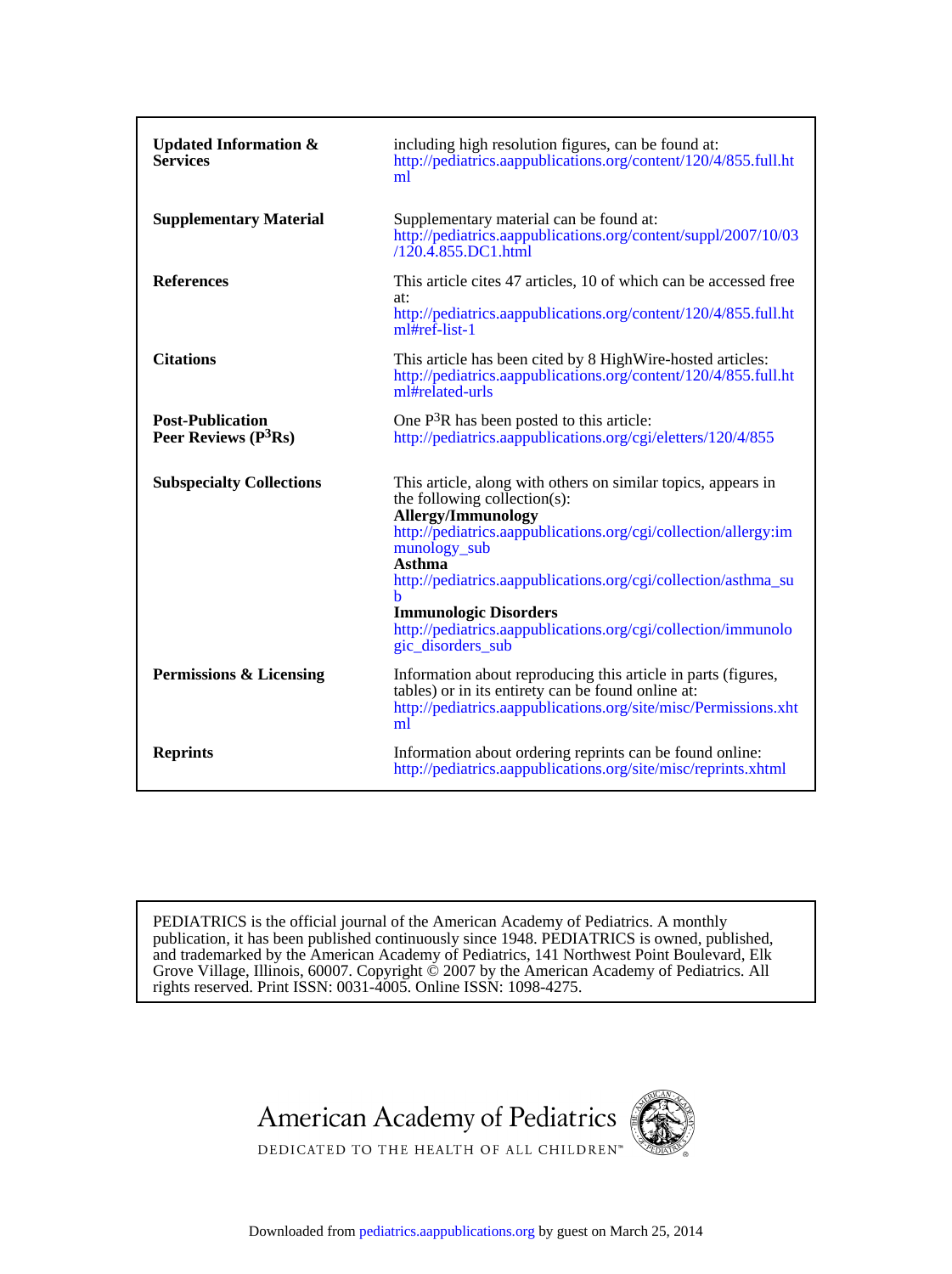| <b>Updated Information &amp;</b><br><b>Services</b> | including high resolution figures, can be found at:<br>http://pediatrics.aappublications.org/content/120/4/855.full.ht<br>ml                                                                                                                                                                                                                                                                                                |
|-----------------------------------------------------|-----------------------------------------------------------------------------------------------------------------------------------------------------------------------------------------------------------------------------------------------------------------------------------------------------------------------------------------------------------------------------------------------------------------------------|
| <b>Supplementary Material</b>                       | Supplementary material can be found at:<br>http://pediatrics.aappublications.org/content/suppl/2007/10/03<br>$/120.4.855$ .DC1.html                                                                                                                                                                                                                                                                                         |
| <b>References</b>                                   | This article cites 47 articles, 10 of which can be accessed free<br>at:<br>http://pediatrics.aappublications.org/content/120/4/855.full.ht<br>ml#ref-list-1                                                                                                                                                                                                                                                                 |
| <b>Citations</b>                                    | This article has been cited by 8 HighWire-hosted articles:<br>http://pediatrics.aappublications.org/content/120/4/855.full.ht<br>ml#related-urls                                                                                                                                                                                                                                                                            |
| <b>Post-Publication</b><br>Peer Reviews $(P3Rs)$    | One $P3R$ has been posted to this article:<br>http://pediatrics.aappublications.org/cgi/eletters/120/4/855                                                                                                                                                                                                                                                                                                                  |
| <b>Subspecialty Collections</b>                     | This article, along with others on similar topics, appears in<br>the following collection(s):<br><b>Allergy/Immunology</b><br>http://pediatrics.aappublications.org/cgi/collection/allergy:im<br>munology_sub<br><b>Asthma</b><br>http://pediatrics.aappublications.org/cgi/collection/asthma_su<br>h<br><b>Immunologic Disorders</b><br>http://pediatrics.aappublications.org/cgi/collection/immunolo<br>gic disorders sub |
| <b>Permissions &amp; Licensing</b>                  | Information about reproducing this article in parts (figures,<br>tables) or in its entirety can be found online at:<br>http://pediatrics.aappublications.org/site/misc/Permissions.xht<br>ml                                                                                                                                                                                                                                |
| <b>Reprints</b>                                     | Information about ordering reprints can be found online:<br>http://pediatrics.aappublications.org/site/misc/reprints.xhtml                                                                                                                                                                                                                                                                                                  |

rights reserved. Print ISSN: 0031-4005. Online ISSN: 1098-4275. Grove Village, Illinois, 60007. Copyright  $\ddot{\odot}$  2007 by the American Academy of Pediatrics. All and trademarked by the American Academy of Pediatrics, 141 Northwest Point Boulevard, Elk publication, it has been published continuously since 1948. PEDIATRICS is owned, published, PEDIATRICS is the official journal of the American Academy of Pediatrics. A monthly